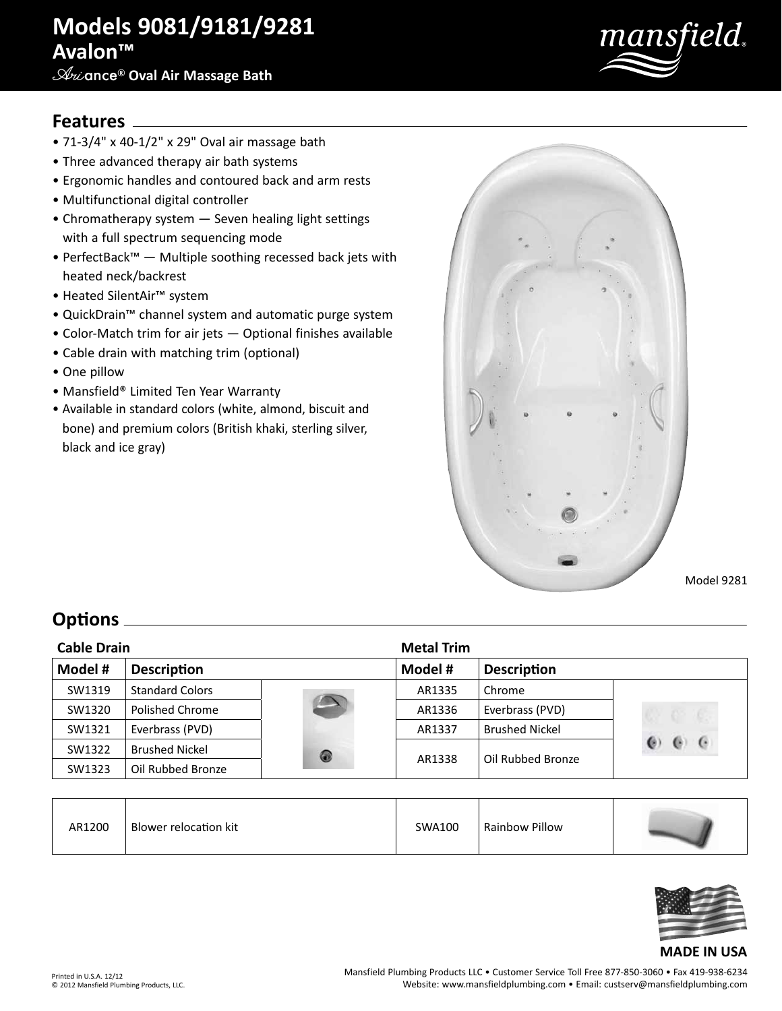# **Models 9081/9181/9281 Avalon™**

### **Ari**ance® **Oval Air Massage Bath**



### **Features**

- 71-3/4" x 40-1/2" x 29" Oval air massage bath
- Three advanced therapy air bath systems
- Ergonomic handles and contoured back and arm rests
- Multifunctional digital controller
- Chromatherapy system Seven healing light settings with a full spectrum sequencing mode
- PerfectBack™ Multiple soothing recessed back jets with heated neck/backrest
- Heated SilentAir™ system
- QuickDrain™ channel system and automatic purge system
- Color-Match trim for air jets Optional finishes available
- Cable drain with matching trim (optional)
- One pillow
- Mansfield® Limited Ten Year Warranty
- Available in standard colors (white, almond, biscuit and bone) and premium colors (British khaki, sterling silver, black and ice gray)



Model 9281

### **Options**

| <b>Cable Drain</b> |                        |   | <b>Metal Trim</b> |                       |            |
|--------------------|------------------------|---|-------------------|-----------------------|------------|
| Model #            | <b>Description</b>     |   | Model #           | <b>Description</b>    |            |
| SW1319             | <b>Standard Colors</b> |   | AR1335            | Chrome                |            |
| SW1320             | Polished Chrome        |   | AR1336            | Everbrass (PVD)       |            |
| SW1321             | Everbrass (PVD)        |   | AR1337            | <b>Brushed Nickel</b> |            |
| SW1322             | <b>Brushed Nickel</b>  | 0 | AR1338            | Oil Rubbed Bronze     | $\epsilon$ |
| SW1323             | Oil Rubbed Bronze      |   |                   |                       |            |

| AR1200 | Blower relocation kit | SWA100 | Rainbow Pillow |  |
|--------|-----------------------|--------|----------------|--|
|--------|-----------------------|--------|----------------|--|



#### **MADE IN USA**